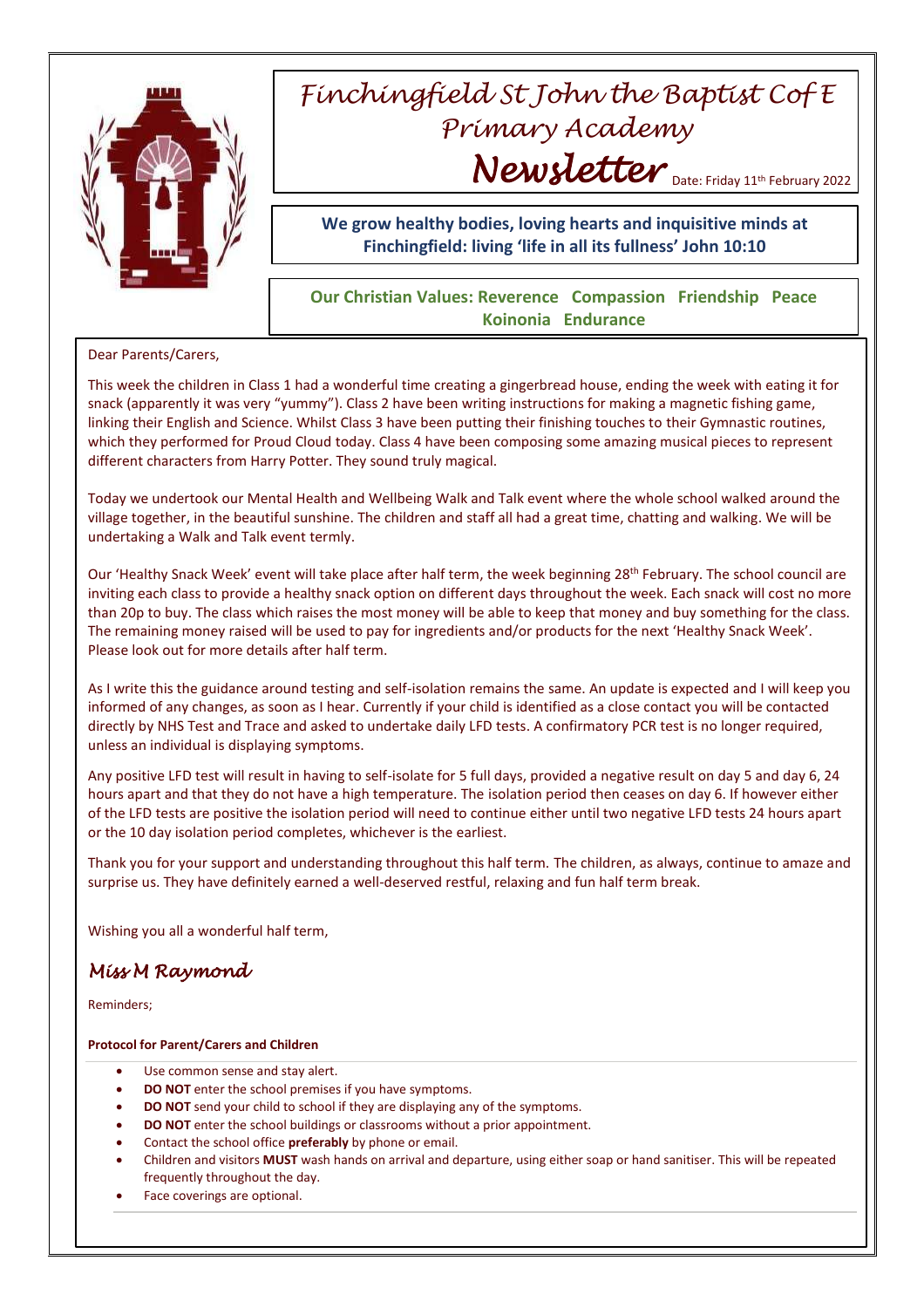

## *Finchingfield St John the Baptist Cof E Primary Academy* Newsletter Date: Friday 11th February 2022

## **We grow healthy bodies, loving hearts and inquisitive minds at Finchingfield: living 'life in all its fullness' John 10:10**

## **Our Christian Values: Reverence Compassion Friendship Peace Koinonia Endurance**

Dear Parents/Carers,

This week the children in Class 1 had a wonderful time creating a gingerbread house, ending the week with eating it for snack (apparently it was very "yummy"). Class 2 have been writing instructions for making a magnetic fishing game, linking their English and Science. Whilst Class 3 have been putting their finishing touches to their Gymnastic routines, which they performed for Proud Cloud today. Class 4 have been composing some amazing musical pieces to represent different characters from Harry Potter. They sound truly magical.

Today we undertook our Mental Health and Wellbeing Walk and Talk event where the whole school walked around the village together, in the beautiful sunshine. The children and staff all had a great time, chatting and walking. We will be undertaking a Walk and Talk event termly.

Our 'Healthy Snack Week' event will take place after half term, the week beginning 28<sup>th</sup> February. The school council are inviting each class to provide a healthy snack option on different days throughout the week. Each snack will cost no more than 20p to buy. The class which raises the most money will be able to keep that money and buy something for the class. The remaining money raised will be used to pay for ingredients and/or products for the next 'Healthy Snack Week'. Please look out for more details after half term.

As I write this the guidance around testing and self-isolation remains the same. An update is expected and I will keep you informed of any changes, as soon as I hear. Currently if your child is identified as a close contact you will be contacted directly by NHS Test and Trace and asked to undertake daily LFD tests. A confirmatory PCR test is no longer required, unless an individual is displaying symptoms.

Any positive LFD test will result in having to self-isolate for 5 full days, provided a negative result on day 5 and day 6, 24 hours apart and that they do not have a high temperature. The isolation period then ceases on day 6. If however either of the LFD tests are positive the isolation period will need to continue either until two negative LFD tests 24 hours apart or the 10 day isolation period completes, whichever is the earliest.

Thank you for your support and understanding throughout this half term. The children, as always, continue to amaze and surprise us. They have definitely earned a well-deserved restful, relaxing and fun half term break.

Wishing you all a wonderful half term,

## *Miss M Raymond*

Reminders;

**Protocol for Parent/Carers and Children**

- Use common sense and stay alert.
- **DO NOT** enter the school premises if you have symptoms.
- **DO NOT** send your child to school if they are displaying any of the symptoms.
- **DO NOT** enter the school buildings or classrooms without a prior appointment.
- Contact the school office **preferably** by phone or email.
- Children and visitors **MUST** wash hands on arrival and departure, using either soap or hand sanitiser. This will be repeated frequently throughout the day.
- Face coverings are optional.